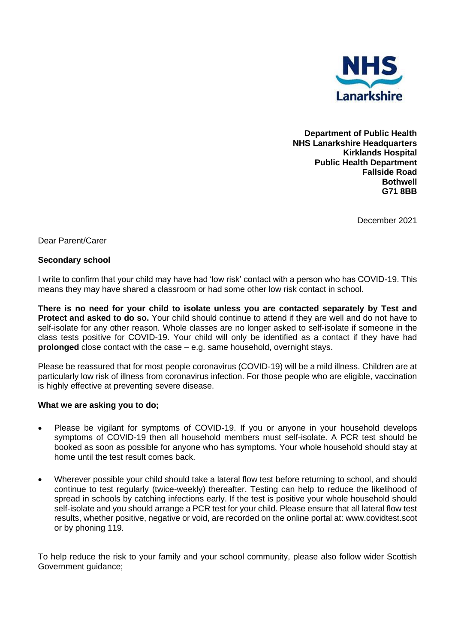

**Department of Public Health NHS Lanarkshire Headquarters Kirklands Hospital Public Health Department Fallside Road Bothwell G71 8BB** 

December 2021

Dear Parent/Carer

## **Secondary school**

I write to confirm that your child may have had 'low risk' contact with a person who has COVID-19. This means they may have shared a classroom or had some other low risk contact in school.

**There is no need for your child to isolate unless you are contacted separately by Test and Protect and asked to do so.** Your child should continue to attend if they are well and do not have to self-isolate for any other reason. Whole classes are no longer asked to self-isolate if someone in the class tests positive for COVID-19. Your child will only be identified as a contact if they have had **prolonged** close contact with the case – e.g. same household, overnight stays.

Please be reassured that for most people coronavirus (COVID-19) will be a mild illness. Children are at particularly low risk of illness from coronavirus infection. For those people who are eligible, vaccination is highly effective at preventing severe disease.

## **What we are asking you to do;**

- Please be vigilant for symptoms of COVID-19. If you or anyone in your household develops symptoms of COVID-19 then all household members must self-isolate. A PCR test should be booked as soon as possible for anyone who has symptoms. Your whole household should stay at home until the test result comes back.
- Wherever possible your child should take a lateral flow test before returning to school, and should continue to test regularly (twice-weekly) thereafter. Testing can help to reduce the likelihood of spread in schools by catching infections early. If the test is positive your whole household should self-isolate and you should arrange a PCR test for your child. Please ensure that all lateral flow test results, whether positive, negative or void, are recorded on the online portal at: www.covidtest.scot or by phoning 119.

To help reduce the risk to your family and your school community, please also follow wider Scottish Government guidance;